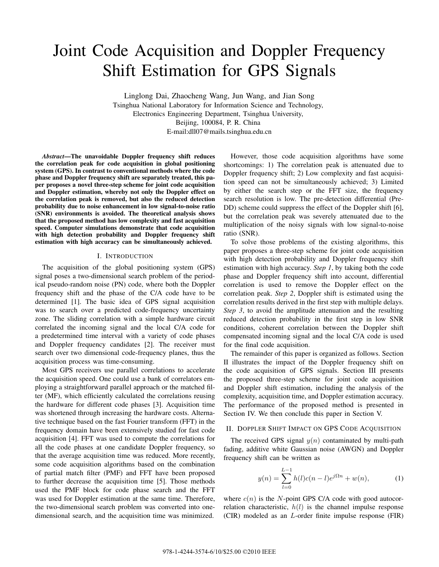# Joint Code Acquisition and Doppler Frequency Shift Estimation for GPS Signals

Linglong Dai, Zhaocheng Wang, Jun Wang, and Jian Song Tsinghua National Laboratory for Information Science and Technology, Electronics Engineering Department, Tsinghua University, Beijing, 100084, P. R. China E-mail:dll07@mails.tsinghua.edu.cn

*Abstract***—The unavoidable Doppler frequency shift reduces the correlation peak for code acquisition in global positioning system (GPS). In contrast to conventional methods where the code phase and Doppler frequency shift are separately treated, this paper proposes a novel three-step scheme for joint code acquisition and Doppler estimation, whereby not only the Doppler effect on the correlation peak is removed, but also the reduced detection probability due to noise enhancement in low signal-to-noise ratio (SNR) environments is avoided. The theoretical analysis shows that the proposed method has low complexity and fast acquisition speed. Computer simulations demonstrate that code acquisition with high detection probability and Doppler frequency shift estimation with high accuracy can be simultaneously achieved.**

## I. INTRODUCTION

The acquisition of the global positioning system (GPS) signal poses a two-dimensional search problem of the periodical pseudo-random noise (PN) code, where both the Doppler frequency shift and the phase of the C/A code have to be determined [1]. The basic idea of GPS signal acquisition was to search over a predicted code-frequency uncertainty zone. The sliding correlation with a simple hardware circuit correlated the incoming signal and the local C/A code for a predetermined time interval with a variety of code phases and Doppler frequency candidates [2]. The receiver must search over two dimensional code-frequency planes, thus the acquisition process was time-consuming.

Most GPS receivers use parallel correlations to accelerate the acquisition speed. One could use a bank of correlators employing a straightforward parallel approach or the matched filter (MF), which efficiently calculated the correlations reusing the hardware for different code phases [3]. Acquisition time was shortened through increasing the hardware costs. Alternative technique based on the fast Fourier transform (FFT) in the frequency domain have been extensively studied for fast code acquisition [4]. FFT was used to compute the correlations for all the code phases at one candidate Doppler frequency, so that the average acquisition time was reduced. More recently, some code acquisition algorithms based on the combination of partial match filter (PMF) and FFT have been proposed to further decrease the acquisition time [5]. Those methods used the PMF block for code phase search and the FFT was used for Doppler estimation at the same time. Therefore, the two-dimensional search problem was converted into onedimensional search, and the acquisition time was minimized.

However, those code acquisition algorithms have some shortcomings: 1) The correlation peak is attenuated due to Doppler frequency shift; 2) Low complexity and fast acquisition speed can not be simultaneously achieved; 3) Limited by either the search step or the FFT size, the frequency search resolution is low. The pre-detection differential (Pre-DD) scheme could suppress the effect of the Doppler shift [6], but the correlation peak was severely attenuated due to the multiplication of the noisy signals with low signal-to-noise ratio (SNR).

To solve those problems of the existing algorithms, this paper proposes a three-step scheme for joint code acquisition with high detection probability and Doppler frequency shift estimation with high accuracy. *Step 1*, by taking both the code phase and Doppler frequency shift into account, differential correlation is used to remove the Doppler effect on the correlation peak. *Step 2*, Doppler shift is estimated using the correlation results derived in the first step with multiple delays. *Step 3*, to avoid the amplitude attenuation and the resulting reduced detection probability in the first step in low SNR conditions, coherent correlation between the Doppler shift compensated incoming signal and the local C/A code is used for the final code acquisition.

The remainder of this paper is organized as follows. Section II illustrates the impact of the Doppler frequency shift on the code acquisition of GPS signals. Section III presents the proposed three-step scheme for joint code acquisition and Doppler shift estimation, including the analysis of the complexity, acquisition time, and Doppler estimation accuracy. The performance of the proposed method is presented in Section IV. We then conclude this paper in Section V.

## II. DOPPLER SHIFT IMPACT ON GPS CODE ACQUISITION

The received GPS signal  $y(n)$  contaminated by multi-path fading, additive white Gaussian noise (AWGN) and Doppler frequency shift can be written as

$$
y(n) = \sum_{l=0}^{L-1} h(l)c(n-l)e^{j\Omega n} + w(n),
$$
 (1)

where  $c(n)$  is the N-point GPS C/A code with good autocorrelation characteristic,  $h(l)$  is the channel impulse response (CIR) modeled as an L-order finite impulse response (FIR)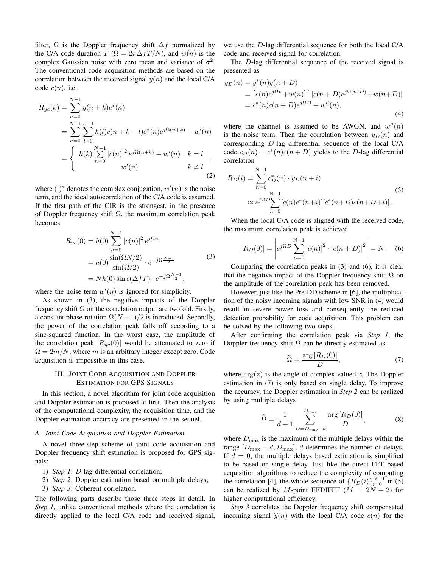filter,  $\Omega$  is the Doppler frequency shift  $\Delta f$  normalized by the C/A code duration  $T (\Omega = 2\pi \Delta f T/N)$ , and  $w(n)$  is the complex Gaussian noise with zero mean and variance of  $\sigma^2$ . The conventional code acquisition methods are based on the correlation between the received signal  $y(n)$  and the local C/A code  $c(n)$ , i.e.,

$$
R_{yc}(k) = \sum_{n=0}^{N-1} y(n+k)c^{*}(n)
$$
  
= 
$$
\sum_{n=0}^{N-1} \sum_{l=0}^{L-1} h(l)c(n+k-l)c^{*}(n)e^{j\Omega(n+k)} + w'(n)
$$
  
= 
$$
\begin{cases} h(k) \sum_{n=0}^{N-1} |c(n)|^{2} e^{j\Omega(n+k)} + w'(n) & k = l \\ w'(n) & k \neq l \end{cases}
$$
 (2)

where  $(\cdot)^*$  denotes the complex conjugation,  $w'(n)$  is the noise<br>term and the ideal autocorrelation of the C/A code is assumed term, and the ideal autocorrelation of the C/A code is assumed. If the first path of the CIR is the strongest, in the presence of Doppler frequency shift  $\Omega$ , the maximum correlation peak becomes

$$
R_{yc}(0) = h(0) \sum_{n=0}^{N-1} |c(n)|^2 e^{j\Omega n}
$$
  
=  $h(0) \frac{\sin(\Omega N/2)}{\sin(\Omega/2)} \cdot e^{-j\Omega \frac{N-1}{2}}$  (3)  
=  $Nh(0) \sin c(\Delta fT) \cdot e^{-j\Omega \frac{N-1}{2}},$ 

where the noise term  $w'(n)$  is ignored for simplicity.<br>As shown in (3) the negative impacts of the

As shown in (3), the negative impacts of the Doppler frequency shift  $\Omega$  on the correlation output are twofold. Firstly, a constant phase rotation  $\Omega(N-1)/2$  is introduced. Secondly, the power of the correlation peak falls off according to a sinc-squared function. In the worst case, the amplitude of the correlation peak  $|R_{\nu c}(0)|$  would be attenuated to zero if  $\Omega = 2m/N$ , where m is an arbitrary integer except zero. Code acquisition is impossible in this case.

# III. JOINT CODE ACQUISITION AND DOPPLER ESTIMATION FOR GPS SIGNALS

In this section, a novel algorithm for joint code acquisition and Doppler estimation is proposed at first. Then the analysis of the computational complexity, the acquisition time, and the Doppler estimation accuracy are presented in the sequel.

# *A. Joint Code Acquisition and Doppler Estimation*

A novel three-step scheme of joint code acquisition and Doppler frequency shift estimation is proposed for GPS signals:

- 1) *Step 1*: D-lag differential correlation;
- 2) *Step 2*: Doppler estimation based on multiple delays;
- 3) *Step 3*: Coherent correlation.

The following parts describe those three steps in detail. In *Step 1*, unlike conventional methods where the correlation is directly applied to the local C/A code and received signal,

we use the D-lag differential sequence for both the local C/A code and received signal for correlation.

The D-lag differential sequence of the received signal is presented as

$$
y_D(n) = y^*(n)y(n+D)
$$
  
=  $[c(n)e^{j\Omega n} + w(n)]^* [c(n+D)e^{j\Omega(n+D)} + w(n+D)]$   
=  $c^*(n)c(n+D)e^{j\Omega D} + w''(n)$ , (4)

where the channel is assumed to be AWGN, and  $w''(n)$ is the noise term. Then the correlation between  $y_D(n)$  and corresponding D-lag differential sequence of the local C/A code  $c_D(n) = c^*(n)c(n+D)$  yields to the D-lag differential correlation

$$
R_D(i) = \sum_{n=0}^{N-1} c_D^*(n) \cdot y_D(n+i)
$$
  
\n
$$
\approx e^{j\Omega D} \sum_{n=0}^{N-1} [c(n)c^*(n+i)][c^*(n+D)c(n+D+i)].
$$
\n(5)

When the local C/A code is aligned with the received code, the maximum correlation peak is achieved

$$
|R_D(0)| = \left| e^{j\Omega D} \sum_{n=0}^{N-1} |c(n)|^2 \cdot |c(n+D)|^2 \right| = N. \quad (6)
$$

Comparing the correlation peaks in (3) and (6), it is clear that the negative impact of the Doppler frequency shift  $\Omega$  on the amplitude of the correlation peak has been removed.

However, just like the Pre-DD scheme in [6], the multiplication of the noisy incoming signals with low SNR in (4) would result in severe power loss and consequently the reduced detection probability for code acquisition. This problem can be solved by the following two steps.

After confirming the correlation peak via *Step 1*, the Doppler frequency shift  $\Omega$  can be directly estimated as

$$
\widehat{\Omega} = \frac{\arg\left[R_D(0)\right]}{D},\tag{7}
$$

where  $arg(z)$  is the angle of complex-valued z. The Doppler estimation in (7) is only based on single delay. To improve the accuracy, the Doppler estimation in *Step 2* can be realized by using multiple delays

$$
\widehat{\Omega} = \frac{1}{d+1} \sum_{D=D_{\text{max}}-d}^{D_{\text{max}}} \frac{\arg [R_D(0)]}{D},
$$
\n(8)

where  $D_{\text{max}}$  is the maximum of the multiple delays within the range  $[D_{\text{max}} - d, D_{\text{max}}]$ , d determines the number of delays. If  $d = 0$ , the multiple delays based estimation is simplified to be based on single delay. Just like the direct FFT based acquisition algorithms to reduce the complexity of computing the correlation [4], the whole sequence of  $\{R_D(i)\}_{i=0}^{N-1}$  in (5)<br>can be realized by *M*-point EFT/IEET  $(M - 2N + 2)$  for can be realized by M-point FFT/IFFT  $(M = 2N + 2)$  for higher computational efficiency.

*Step 3* correlates the Doppler frequency shift compensated incoming signal  $\hat{y}(n)$  with the local C/A code  $c(n)$  for the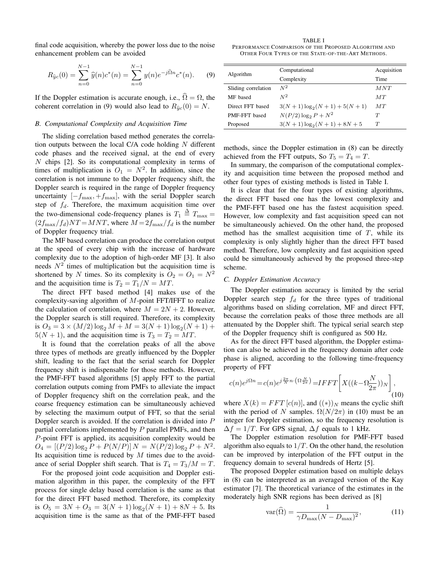final code acquisition, whereby the power loss due to the noise enhancement problem can be avoided

$$
R_{\hat{y}c}(0) = \sum_{n=0}^{N-1} \hat{y}(n)c^*(n) = \sum_{n=0}^{N-1} y(n)e^{-j\hat{\Omega}n}c^*(n).
$$
 (9)

If the Doppler estimation is accurate enough, i.e.,  $\Omega = \Omega$ , the coherent correlation in (9) would also lead to  $R_{\odot}$  (0) – N coherent correlation in (9) would also lead to  $R_{\hat{y}c}(0) = N$ .

#### *B. Computational Complexity and Acquisition Time*

The sliding correlation based method generates the correlation outputs between the local C/A code holding  $N$  different code phases and the received signal, at the end of every  $N$  chips [2]. So its computational complexity in terms of times of multiplication is  $O_1 = N^2$ . In addition, since the correlation is not immune to the Doppler frequency shift, the Doppler search is required in the range of Doppler frequency uncertainty  $[-f_{\text{max}}, +f_{\text{max}}]$ , with the serial Doppler search step of  $f_d$ . Therefore, the maximum acquisition time over the two-dimensional code-frequency planes is  $T_1 \stackrel{\Delta}{=} T_{\text{max}} =$ <br>(2.4 \end{f} \times \taughtarra) f = 1.4 \taughtarra  $M = 2f$  \taughtarra) f is the number  $(2f_{\text{max}}/f_d)NT = MNT$ , where  $M = 2f_{\text{max}}/f_d$  is the number of Doppler frequency trial.

The MF based correlation can produce the correlation output at the speed of every chip with the increase of hardware complexity due to the adoption of high-order MF [3]. It also needs  $N^2$  times of multiplication but the acquisition time is shortened by N times. So its complexity is  $O_2 = O_1 = N^2$ and the acquisition time is  $T_2 = T_1/N = MT$ .

The direct FFT based method [4] makes use of the complexity-saving algorithm of  $M$ -point FFT/IFFT to realize the calculation of correlation, where  $M = 2N + 2$ . However, the Doppler search is still required. Therefore, its complexity is  $O_3 = 3 \times (M/2) \log_2 M + M = 3(N+1) \log_2 (N+1) +$  $5(N + 1)$ , and the acquisition time is  $T_3 = T_2 = MT$ .

It is found that the correlation peaks of all the above three types of methods are greatly influenced by the Doppler shift, leading to the fact that the serial search for Doppler frequency shift is indispensable for those methods. However, the PMF-FFT based algorithms [5] apply FFT to the partial correlation outputs coming from PMFs to alleviate the impact of Doppler frequency shift on the correlation peak, and the coarse frequency estimation can be simultaneously achieved by selecting the maximum output of FFT, so that the serial Doppler search is avoided. If the correlation is divided into P partial correlations implemented by  $P$  parallel PMFs, and then P-point FFT is applied, its acquisition complexity would be  $O_4 = [(P/2) \log_2 P + P(N/P)] N = N(P/2) \log_2 P + N^2.$ Its acquisition time is reduced by  $M$  times due to the avoidance of serial Doppler shift search. That is  $T_4 = T_3/M = T$ .

For the proposed joint code acquisition and Doppler estimation algorithm in this paper, the complexity of the FFT process for single delay based correlation is the same as that for the direct FFT based method. Therefore, its complexity is  $O_5 = 3N + O_3 = 3(N + 1) \log_2(N + 1) + 8N + 5$ . Its acquisition time is the same as that of the PMF-FFT based

TABLE I PERFORMANCE COMPARISON OF THE PROPOSED ALGORITHM AND OTHER FOUR TYPES OF THE STATE-OF-THE-ART METHODS.

| Algorithm           | Computational              | Acquisition |
|---------------------|----------------------------|-------------|
|                     |                            |             |
|                     | Complexity                 | Time        |
| Sliding correlation | $N^2$                      | MNT         |
| MF based            | $N^2$                      | MT          |
| Direct FFT based    | $3(N+1)\log_2(N+1)+5(N+1)$ | MT          |
| PMF-FFT based       | $N(P/2) \log_2 P + N^2$    | T           |
| Proposed            | $3(N+1)\log_2(N+1)+8N+5$   | T           |
|                     |                            |             |

methods, since the Doppler estimation in (8) can be directly achieved from the FFT outputs, So  $T_5 = T_4 = T$ .

In summary, the comparison of the computational complexity and acquisition time between the proposed method and other four types of existing methods is listed in Table I.

It is clear that for the four types of existing algorithms, the direct FFT based one has the lowest complexity and the PMF-FFT based one has the fastest acquisition speed. However, low complexity and fast acquisition speed can not be simultaneously achieved. On the other hand, the proposed method has the smallest acquisition time of  $T$ , while its complexity is only slightly higher than the direct FFT based method. Therefore, low complexity and fast acquisition speed could be simultaneously achieved by the proposed three-step scheme.

## *C. Doppler Estimation Accuracy*

The Doppler estimation accuracy is limited by the serial Doppler search step  $f_d$  for the three types of traditional algorithms based on sliding correlation, MF and direct FFT, because the correlation peaks of those three methods are all attenuated by the Doppler shift. The typical serial search step of the Doppler frequency shift is configured as 500 Hz.

As for the direct FFT based algorithm, the Doppler estimation can also be achieved in the frequency domain after code phase is aligned, according to the following time-frequency property of FFT

$$
c(n)e^{j\Omega n} = c(n)e^{j\frac{2\pi}{N}n\cdot(\Omega\frac{N}{2\pi})} = IFFT\left[X((k-\Omega\frac{N}{2\pi}))_N\right],
$$
\n(10)

where  $X(k) = FFT [c(n)]$ , and  $((*)_N$  means the cyclic shift with the period of N samples.  $\Omega(N/2\pi)$  in (10) must be an integer for Doppler estimation, so the frequency resolution is  $\Delta f = 1/T$ . For GPS signal,  $\Delta f$  equals to 1 kHz.

The Doppler estimation resolution for PMF-FFT based algorithm also equals to  $1/T$ . On the other hand, the resolution can be improved by interpolation of the FFT output in the frequency domain to several hundreds of Hertz [5].

The proposed Doppler estimation based on multiple delays in (8) can be interpreted as an averaged version of the Kay estimator [7]. The theoretical variance of the estimates in the moderately high SNR regions has been derived as [8]

$$
\text{var}(\widehat{\Omega}) = \frac{1}{\gamma D_{\text{max}}(N - D_{\text{max}})^2},\tag{11}
$$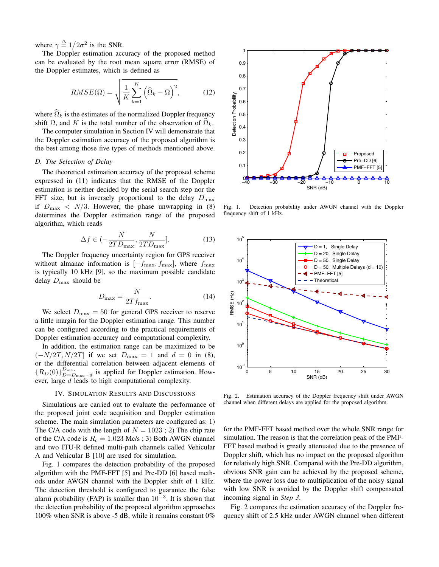where  $\gamma \stackrel{\Delta}{=} 1/2\sigma^2$  is the SNR.<br>The Doppler estimation acc

The Doppler estimation accuracy of the proposed method can be evaluated by the root mean square error (RMSE) of the Doppler estimates, which is defined as

$$
RMSE(\Omega) = \sqrt{\frac{1}{K} \sum_{k=1}^{K} (\hat{\Omega}_k - \Omega)^2},
$$
 (12)

where  $\Omega_k$  is the estimates of the normalized Doppler frequency<br>shift  $\Omega$  and K is the total number of the observation of  $\widehat{Q}_k$ . shift  $\Omega$ , and K is the total number of the observation of  $\widehat{\Omega}_k$ .<br>The computer simulation in Section IV will demonstrate that

The computer simulation in Section IV will demonstrate that the Doppler estimation accuracy of the proposed algorithm is the best among those five types of methods mentioned above.

### *D. The Selection of Delay*

The theoretical estimation accuracy of the proposed scheme expressed in (11) indicates that the RMSE of the Doppler estimation is neither decided by the serial search step nor the FFT size, but is inversely proportional to the delay  $D_{\text{max}}$ if  $D_{\text{max}} < N/3$ . However, the phase unwrapping in (8) determines the Doppler estimation range of the proposed algorithm, which reads

$$
\Delta f \in \left(-\frac{N}{2TD_{\text{max}}}, \frac{N}{2TD_{\text{max}}}\right].
$$
\nThe Doppler frequency uncertainty region for GPS receiver

without almanac information is  $[-f_{\text{max}}, f_{\text{max}}]$ , where  $f_{\text{max}}$ is typically 10 kHz [9], so the maximum possible candidate delay  $D_{\text{max}}$  should be

$$
D_{\text{max}} = \frac{N}{2T f_{\text{max}}}.\tag{14}
$$

We select  $D_{\text{max}} = 50$  for general GPS receiver to reserve<br>ittle margin for the Doppler estimation range. This number a little margin for the Doppler estimation range. This number can be configured according to the practical requirements of Doppler estimation accuracy and computational complexity.

In addition, the estimation range can be maximized to be  $(-N/2T, N/2T]$  if we set  $D_{\text{max}} = 1$  and  $d = 0$  in (8), or the differential correlation between adjacent elements of  ${R_D(0)}_{D=D_{\text{max}}-d}^{D_{\text{max}}}$  is applied for Doppler estimation. How-<br>ever large *d* leads to bigh computational complexity ever, large d leads to high computational complexity.

#### IV. SIMULATION RESULTS AND DISCUSSIONS

Simulations are carried out to evaluate the performance of the proposed joint code acquisition and Doppler estimation scheme. The main simulation parameters are configured as: 1) The C/A code with the length of  $N = 1023$ ; 2) The chip rate of the C/A code is  $R_c = 1.023$  Mc/s; 3) Both AWGN channel and two ITU-R defined multi-path channels called Vehicular A and Vehicular B [10] are used for simulation.

Fig. 1 compares the detection probability of the proposed algorithm with the PMF-FFT [5] and Pre-DD [6] based methods under AWGN channel with the Doppler shift of 1 kHz. The detection threshold is configured to guarantee the false alarm probability (FAP) is smaller than  $10^{-3}$ . It is shown that the detection probability of the proposed algorithm approaches 100% when SNR is above -5 dB, while it remains constant 0%



Fig. 1. Detection probability under AWGN channel with the Doppler frequency shift of 1 kHz.



Fig. 2. Estimation accuracy of the Doppler frequency shift under AWGN channel when different delays are applied for the proposed algorithm.

for the PMF-FFT based method over the whole SNR range for simulation. The reason is that the correlation peak of the PMF-FFT based method is greatly attenuated due to the presence of Doppler shift, which has no impact on the proposed algorithm for relatively high SNR. Compared with the Pre-DD algorithm, obvious SNR gain can be achieved by the proposed scheme, where the power loss due to multiplication of the noisy signal with low SNR is avoided by the Doppler shift compensated incoming signal in *Step 3*.

Fig. 2 compares the estimation accuracy of the Doppler frequency shift of 2.5 kHz under AWGN channel when different